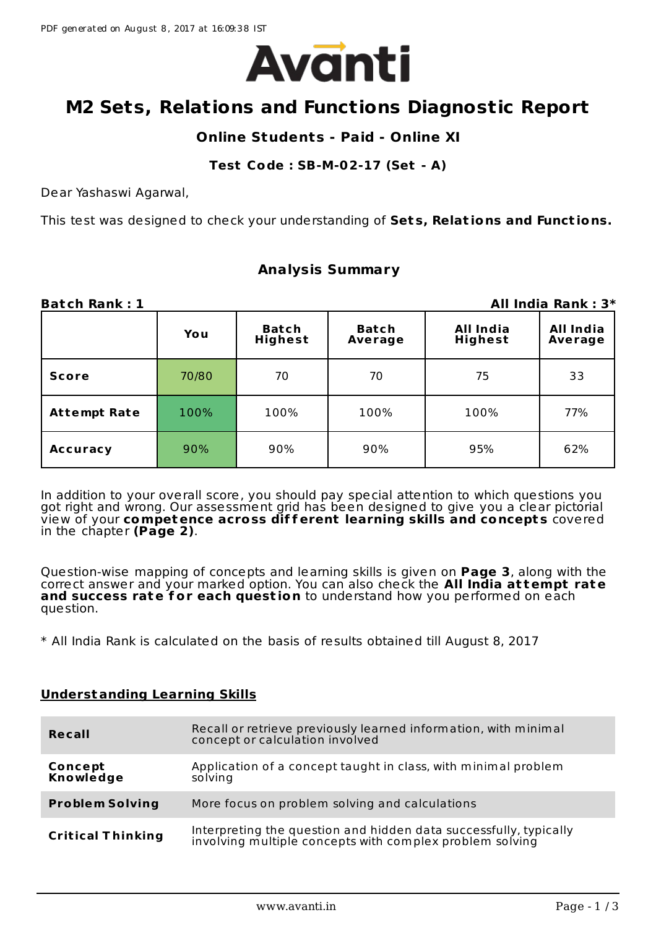

# **M2 Sets, Relations and Functions Diagnostic Report**

## **Online Students - Paid - Online XI**

#### **Test Code : SB-M-02-17 (Set - A)**

Dear Yashaswi Agarwal,

This test was designed to check your understanding of **Set s, Relat ions and Funct ions.**

## **Analysis Summary**

| <b>Batch Rank: 1</b> |       |                         |                         |                             | All India Rank: 3*   |
|----------------------|-------|-------------------------|-------------------------|-----------------------------|----------------------|
|                      | You   | <b>Batch</b><br>Highest | <b>Batch</b><br>Average | All India<br><b>Highest</b> | All India<br>Average |
| <b>Score</b>         | 70/80 | 70                      | 70                      | 75                          | 33                   |
| <b>Attempt Rate</b>  | 100%  | 100%                    | 100%                    | 100%                        | 77%                  |
| <b>Accuracy</b>      | 90%   | 90%<br>95%<br>90%       |                         | 62%                         |                      |

In addition to your overall score, you should pay special attention to which questions you got right and wrong. Our assessment grid has been designed to give you a clear pictorial view of your **competence across dif f erent learning skills and concept s** covered in the chapter **(Page 2)**.

Question-wise mapping of concepts and learning skills is given on **Page 3**, along with the correct answer and your marked option. You can also check the **All India at tempt rate and success rate f or each quest ion** to understand how you performed on each question.

\* All India Rank is calculated on the basis of results obtained till August 8, 2017

### **Understanding Learning Skills**

| Recall                   | Recall or retrieve previously learned information, with minimal<br>concept or calculation involved                         |
|--------------------------|----------------------------------------------------------------------------------------------------------------------------|
| Concept<br>Knowledge     | Application of a concept taught in class, with minimal problem<br>solving                                                  |
| <b>Problem Solving</b>   | More focus on problem solving and calculations                                                                             |
| <b>Critical Thinking</b> | Interpreting the question and hidden data successfully, typically involving multiple concepts with complex problem solving |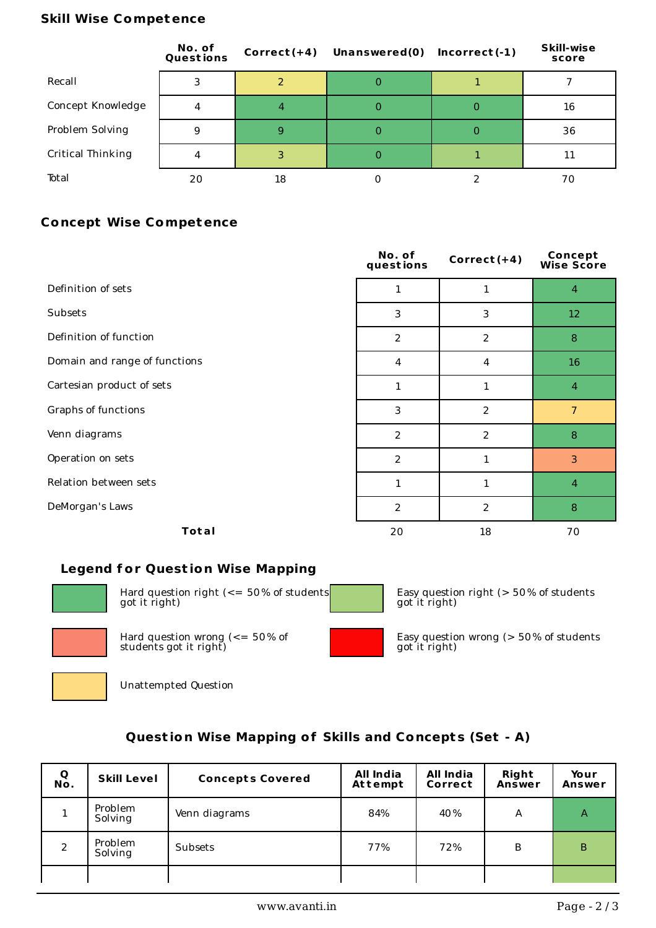#### **Skill Wise Competence**

|                   | No. of<br>Questions | $Correct(+4)$ | <b>Unanswered(0)</b> | $Incorrect(-1)$ | <b>Skill-wise</b><br>score |
|-------------------|---------------------|---------------|----------------------|-----------------|----------------------------|
| Recall            |                     |               | O                    |                 |                            |
| Concept Knowledge | 4                   | 4             | 0                    | 0               | 16                         |
| Problem Solving   | 9                   | 9             | 0                    | 0               | 36                         |
| Critical Thinking | 4                   |               | 0                    |                 | 11                         |
| Total             | 20                  | 18            |                      |                 | 70                         |

## **Concept Wise Competence**

|                               | No. of<br>questions | Correct $(+4)$ | <b>Concept</b><br>Wise Score |
|-------------------------------|---------------------|----------------|------------------------------|
| Definition of sets            | 1                   | 1              | $\overline{4}$               |
| Subsets                       | 3                   | 3              | 12                           |
| Definition of function        | $\overline{2}$      | 2              | 8                            |
| Domain and range of functions | 4                   | 4              | 16                           |
| Cartesian product of sets     | $\mathbf{1}$        | $\mathbf{1}$   | $\overline{4}$               |
| Graphs of functions           | 3                   | $\overline{2}$ | $\overline{7}$               |
| Venn diagrams                 | $\overline{2}$      | 2              | 8                            |
| Operation on sets             | $\overline{2}$      | $\mathbf{1}$   | $\overline{3}$               |
| Relation between sets         | $\mathbf{1}$        | $\mathbf{1}$   | $\overline{4}$               |
| DeMorgan's Laws               | $\overline{2}$      | $\overline{2}$ | $\, 8$                       |
| Total                         | 20                  | 18             | 70                           |

### **Legend f or Quest ion Wise Mapping**



Hard question right (<= 50% of students got it right)



Hard question wrong  $\leq$  = 50% of students got it right)



Easy question right (> 50% of students got it right)



Easy question wrong (> 50% of students



Unattempted Question

## **Quest ion Wise Mapping of Skills and Concept s (Set - A)**

| Q<br>No.      | <b>Skill Level</b> | <b>Concepts Covered</b> | All India<br><b>Attempt</b> | All India<br>Correct | <b>Right</b><br>Answer | Your<br>Answer |
|---------------|--------------------|-------------------------|-----------------------------|----------------------|------------------------|----------------|
| 1.            | Problem<br>Solving | Venn diagrams           | 84%                         | 40%                  | A                      | A              |
| $\mathcal{P}$ | Problem<br>Solving | Subsets                 | 77%                         | 72%                  | B                      | B              |
|               |                    |                         |                             |                      |                        |                |